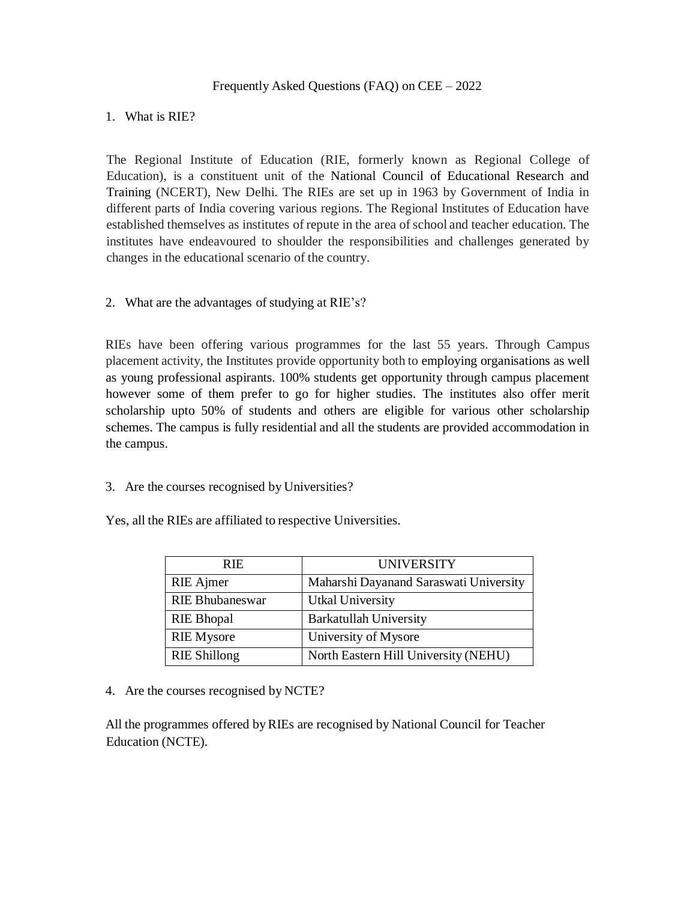### Frequently Asked Questions (FAQ) on CEE – 2022

### 1. What is RIE?

The Regional Institute of Education (RIE, formerly known as Regional College of Education), is a constituent unit of the National Council of Educational Research and Training (NCERT), New Delhi. The RIEs are set up in 1963 by Government of India in different parts of India covering various regions. The Regional Institutes of Education have established themselves as institutes of repute in the area ofschool and teacher education. The institutes have endeavoured to shoulder the responsibilities and challenges generated by changes in the educational scenario of the country.

### 2. What are the advantages of studying at RIE's?

RIEs have been offering various programmes for the last 55 years. Through Campus placement activity, the Institutes provide opportunity both to employing organisations as well as young professional aspirants. 100% students get opportunity through campus placement however some of them prefer to go for higher studies. The institutes also offer merit scholarship upto 50% of students and others are eligible for various other scholarship schemes. The campus is fully residential and all the students are provided accommodation in the campus.

3. Are the courses recognised by Universities?

Yes, all the RIEs are affiliated to respective Universities.

| RIE.                   | <b>UNIVERSITY</b>                      |
|------------------------|----------------------------------------|
| RIE Ajmer              | Maharshi Dayanand Saraswati University |
| <b>RIE Bhubaneswar</b> | <b>Utkal University</b>                |
| <b>RIE Bhopal</b>      | <b>Barkatullah University</b>          |
| <b>RIE</b> Mysore      | University of Mysore                   |
| <b>RIE Shillong</b>    | North Eastern Hill University (NEHU)   |

4. Are the courses recognised by NCTE?

All the programmes offered byRIEs are recognised by National Council for Teacher Education (NCTE).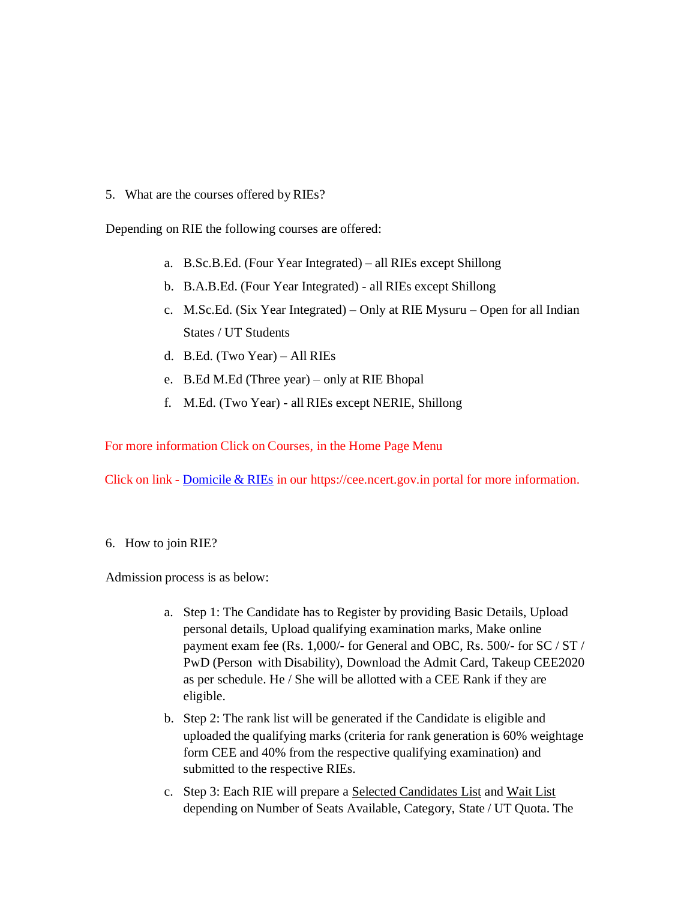5. What are the courses offered by RIEs?

Depending on RIE the following courses are offered:

- a. B.Sc.B.Ed. (Four Year Integrated) all RIEs except Shillong
- b. B.A.B.Ed. (Four Year Integrated) all RIEs except Shillong
- c. M.Sc.Ed. (Six Year Integrated) Only at RIE Mysuru Open for all Indian States / UT Students
- d. B.Ed. (Two Year) All RIEs
- e. B.Ed M.Ed (Three year) only at RIE Bhopal
- f. M.Ed. (Two Year) all RIEs except NERIE, Shillong

For more information Click on Courses, in the Home Page Menu

Click on link - Domicile & RIEs in our https://cee.ncert.gov.in portal for more information.

6. How to join RIE?

Admission process is as below:

- a. Step 1: The Candidate has to Register by providing Basic Details, Upload personal details, Upload qualifying examination marks, Make online payment exam fee (Rs. 1,000/- for General and OBC, Rs. 500/- for SC / ST / PwD (Person with Disability), Download the Admit Card, Takeup CEE2020 as per schedule. He / She will be allotted with a CEE Rank if they are eligible.
- b. Step 2: The rank list will be generated if the Candidate is eligible and uploaded the qualifying marks (criteria for rank generation is 60% weightage form CEE and 40% from the respective qualifying examination) and submitted to the respective RIEs.
- c. Step 3: Each RIE will prepare a Selected Candidates List and Wait List depending on Number of Seats Available, Category, State / UT Quota. The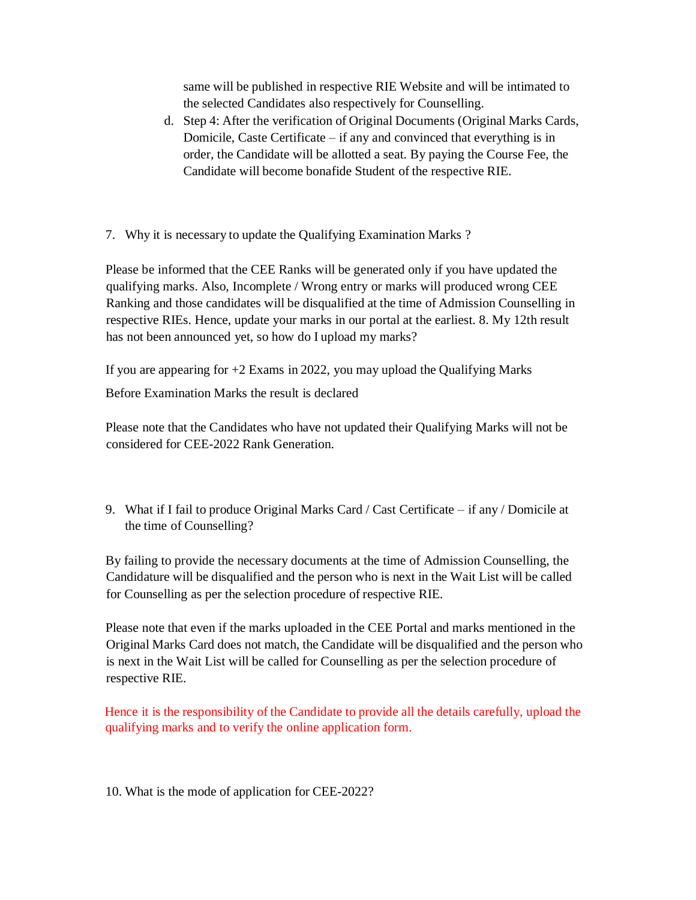same will be published in respective RIE Website and will be intimated to the selected Candidates also respectively for Counselling.

- d. Step 4: After the verification of Original Documents (Original Marks Cards, Domicile, Caste Certificate – if any and convinced that everything is in order, the Candidate will be allotted a seat. By paying the Course Fee, the Candidate will become bonafide Student of the respective RIE.
- 7. Why it is necessary to update the Qualifying Examination Marks ?

Please be informed that the CEE Ranks will be generated only if you have updated the qualifying marks. Also, Incomplete / Wrong entry or marks will produced wrong CEE Ranking and those candidates will be disqualified at the time of Admission Counselling in respective RIEs. Hence, update your marks in our portal at the earliest. 8. My 12th result has not been announced yet, so how do I upload my marks?

If you are appearing for +2 Exams in 2022, you may upload the Qualifying Marks

Before Examination Marks the result is declared

Please note that the Candidates who have not updated their Qualifying Marks will not be considered for CEE-2022 Rank Generation.

9. What if I fail to produce Original Marks Card / Cast Certificate – if any / Domicile at the time of Counselling?

By failing to provide the necessary documents at the time of Admission Counselling, the Candidature will be disqualified and the person who is next in the Wait List will be called for Counselling as per the selection procedure of respective RIE.

Please note that even if the marks uploaded in the CEE Portal and marks mentioned in the Original Marks Card does not match, the Candidate will be disqualified and the person who is next in the Wait List will be called for Counselling as per the selection procedure of respective RIE.

Hence it is the responsibility of the Candidate to provide all the details carefully, upload the qualifying marks and to verify the online application form.

10. What is the mode of application for CEE-2022?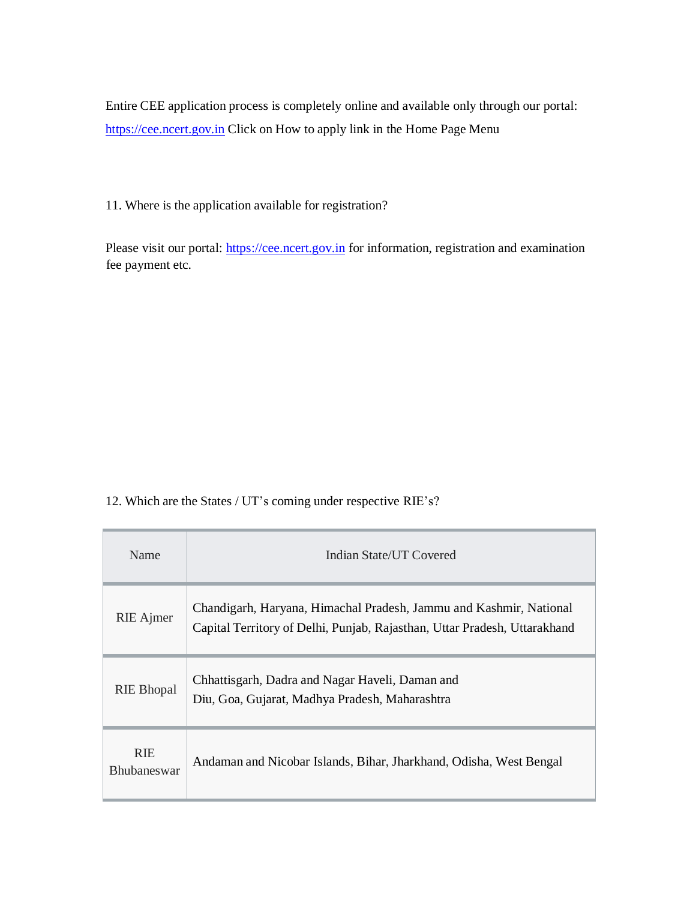Entire CEE application process is completely online and available only through our portal: https://cee.ncert.gov.in Click on How to apply link in the Home Page Menu

11. Where is the application available for registration?

Please visit our portal: https://cee.ncert.gov.in for information, registration and examination fee payment etc.

12. Which are the States / UT's coming under respective RIE's?

| Name                             | Indian State/UT Covered                                                                                                                         |  |
|----------------------------------|-------------------------------------------------------------------------------------------------------------------------------------------------|--|
| RIE Ajmer                        | Chandigarh, Haryana, Himachal Pradesh, Jammu and Kashmir, National<br>Capital Territory of Delhi, Punjab, Rajasthan, Uttar Pradesh, Uttarakhand |  |
| <b>RIE Bhopal</b>                | Chhattisgarh, Dadra and Nagar Haveli, Daman and<br>Diu, Goa, Gujarat, Madhya Pradesh, Maharashtra                                               |  |
| <b>RIE</b><br><b>Bhubaneswar</b> | Andaman and Nicobar Islands, Bihar, Jharkhand, Odisha, West Bengal                                                                              |  |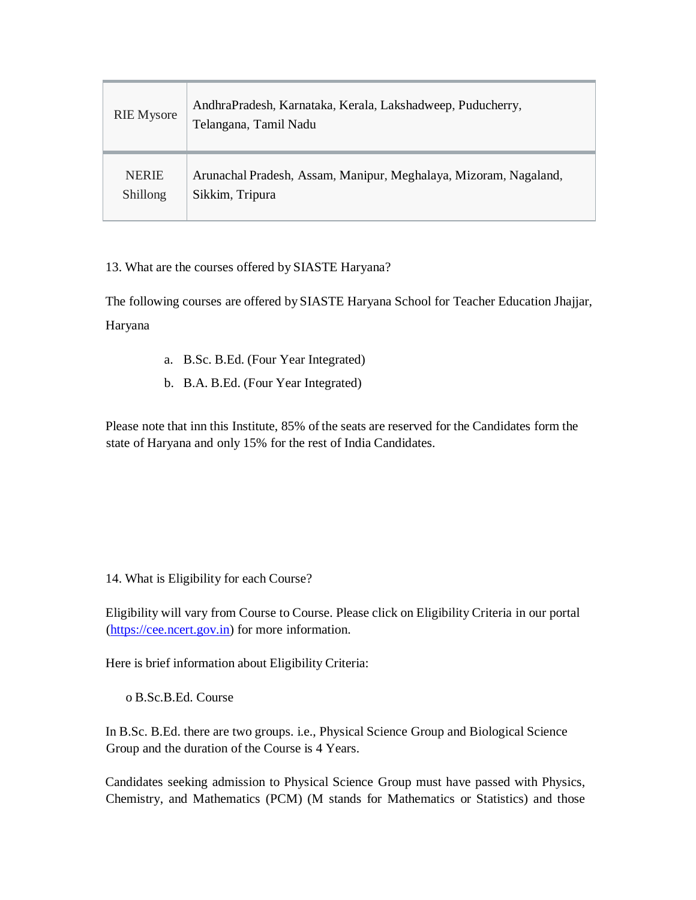| <b>RIE</b> Mysore | AndhraPradesh, Karnataka, Kerala, Lakshadweep, Puducherry,<br>Telangana, Tamil Nadu |
|-------------------|-------------------------------------------------------------------------------------|
| <b>NERIE</b>      | Arunachal Pradesh, Assam, Manipur, Meghalaya, Mizoram, Nagaland,                    |
| Shillong          | Sikkim, Tripura                                                                     |

# 13. What are the courses offered by SIASTE Haryana?

The following courses are offered by SIASTE Haryana School for Teacher Education Jhajjar, Haryana

- a. B.Sc. B.Ed. (Four Year Integrated)
- b. B.A. B.Ed. (Four Year Integrated)

Please note that inn this Institute, 85% of the seats are reserved for the Candidates form the state of Haryana and only 15% for the rest of India Candidates.

14. What is Eligibility for each Course?

Eligibility will vary from Course to Course. Please click on Eligibility Criteria in our portal (https://cee.ncert.gov.in) for more information.

Here is brief information about Eligibility Criteria:

o B.Sc.B.Ed. Course

In B.Sc. B.Ed. there are two groups. i.e., Physical Science Group and Biological Science Group and the duration of the Course is 4 Years.

Candidates seeking admission to Physical Science Group must have passed with Physics, Chemistry, and Mathematics (PCM) (M stands for Mathematics or Statistics) and those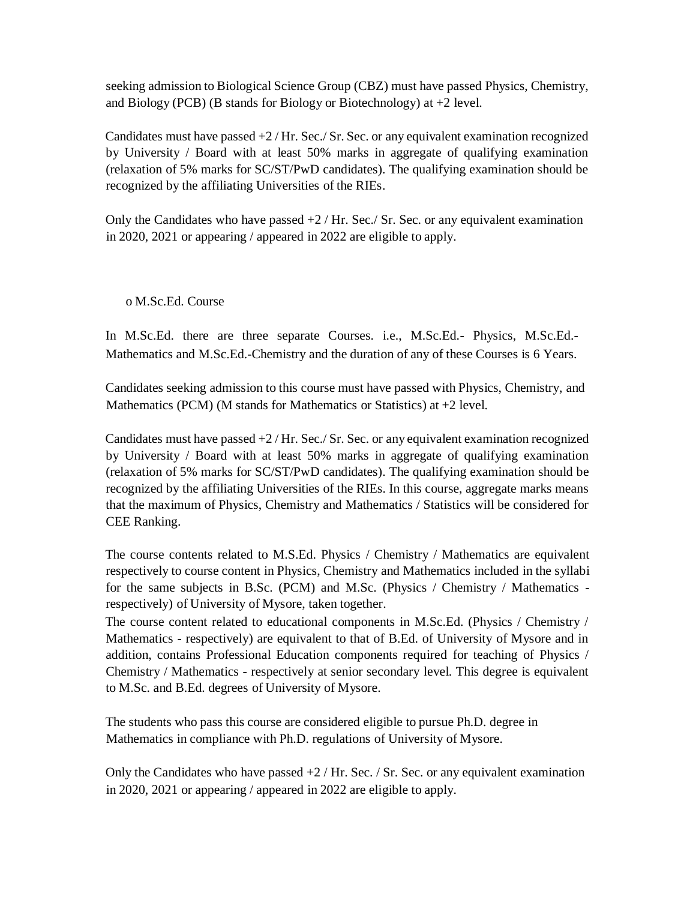seeking admission to Biological Science Group (CBZ) must have passed Physics, Chemistry, and Biology (PCB) (B stands for Biology or Biotechnology) at  $+2$  level.

Candidates must have passed  $+2$  /Hr. Sec./Sr. Sec. or any equivalent examination recognized by University / Board with at least 50% marks in aggregate of qualifying examination (relaxation of 5% marks for SC/ST/PwD candidates). The qualifying examination should be recognized by the affiliating Universities of the RIEs.

Only the Candidates who have passed  $+2$  / Hr. Sec. Sr. Sec. or any equivalent examination in 2020, 2021 or appearing / appeared in 2022 are eligible to apply.

o M.Sc.Ed. Course

In M.Sc.Ed. there are three separate Courses. i.e., M.Sc.Ed.- Physics, M.Sc.Ed.- Mathematics and M.Sc.Ed.-Chemistry and the duration of any of these Courses is 6 Years.

Candidates seeking admission to this course must have passed with Physics, Chemistry, and Mathematics (PCM) (M stands for Mathematics or Statistics) at  $+2$  level.

Candidates must have passed  $+2$  /Hr. Sec./Sr. Sec. or any equivalent examination recognized by University / Board with at least 50% marks in aggregate of qualifying examination (relaxation of 5% marks for SC/ST/PwD candidates). The qualifying examination should be recognized by the affiliating Universities of the RIEs. In this course, aggregate marks means that the maximum of Physics, Chemistry and Mathematics / Statistics will be considered for CEE Ranking.

The course contents related to M.S.Ed. Physics / Chemistry / Mathematics are equivalent respectively to course content in Physics, Chemistry and Mathematics included in the syllabi for the same subjects in B.Sc. (PCM) and M.Sc. (Physics / Chemistry / Mathematics respectively) of University of Mysore, taken together.

The course content related to educational components in M.Sc.Ed. (Physics / Chemistry / Mathematics - respectively) are equivalent to that of B.Ed. of University of Mysore and in addition, contains Professional Education components required for teaching of Physics / Chemistry / Mathematics - respectively at senior secondary level. This degree is equivalent to M.Sc. and B.Ed. degrees of University of Mysore.

The students who pass this course are considered eligible to pursue Ph.D. degree in Mathematics in compliance with Ph.D. regulations of University of Mysore.

Only the Candidates who have passed  $+2$  / Hr. Sec. / Sr. Sec. or any equivalent examination in 2020, 2021 or appearing / appeared in 2022 are eligible to apply.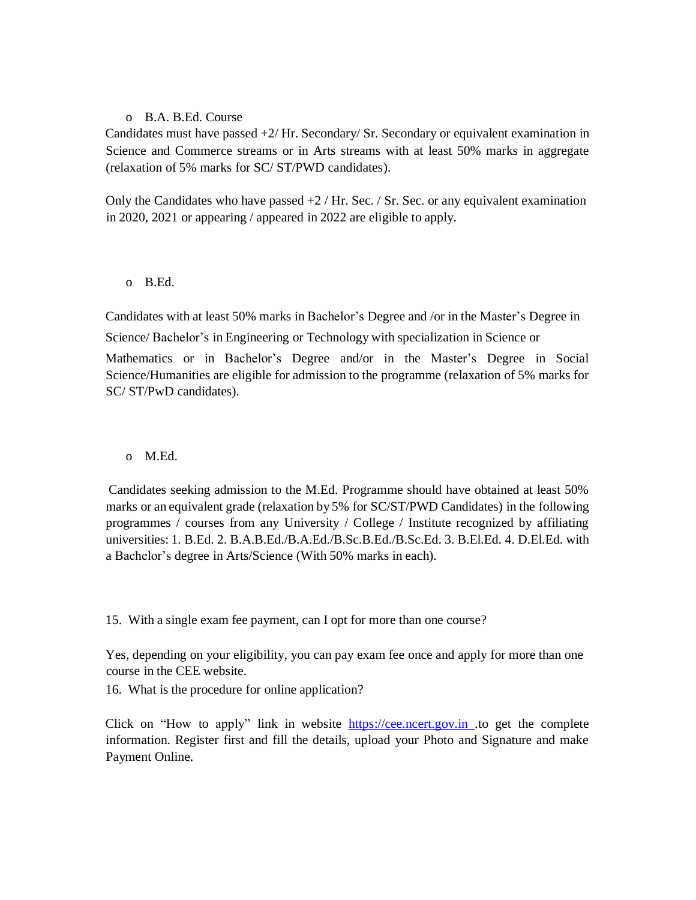### o B.A. B.Ed. Course

Candidates must have passed +2/ Hr. Secondary/ Sr. Secondary or equivalent examination in Science and Commerce streams or in Arts streams with at least 50% marks in aggregate (relaxation of 5% marks for SC/ ST/PWD candidates).

Only the Candidates who have passed  $+2$  / Hr. Sec. / Sr. Sec. or any equivalent examination in 2020, 2021 or appearing / appeared in 2022 are eligible to apply.

## o B.Ed.

Candidates with at least 50% marks in Bachelor's Degree and /or in the Master's Degree in Science/ Bachelor's in Engineering or Technology with specialization in Science or Mathematics or in Bachelor's Degree and/or in the Master's Degree in Social Science/Humanities are eligible for admission to the programme (relaxation of 5% marks for SC/ ST/PwD candidates).

## o M.Ed.

Candidates seeking admission to the M.Ed. Programme should have obtained at least 50% marks or an equivalent grade (relaxation by 5% for SC/ST/PWD Candidates) in the following programmes / courses from any University / College / Institute recognized by affiliating universities: 1. B.Ed. 2. B.A.B.Ed./B.A.Ed./B.Sc.B.Ed./B.Sc.Ed. 3. B.El.Ed. 4. D.El.Ed. with a Bachelor's degree in Arts/Science (With 50% marks in each).

15. With a single exam fee payment, can I opt for more than one course?

Yes, depending on your eligibility, you can pay exam fee once and apply for more than one course in the CEE website.

16. What is the procedure for online application?

Click on "How to apply" link in website https://cee.ncert.gov.in .to get the complete information. Register first and fill the details, upload your Photo and Signature and make Payment Online.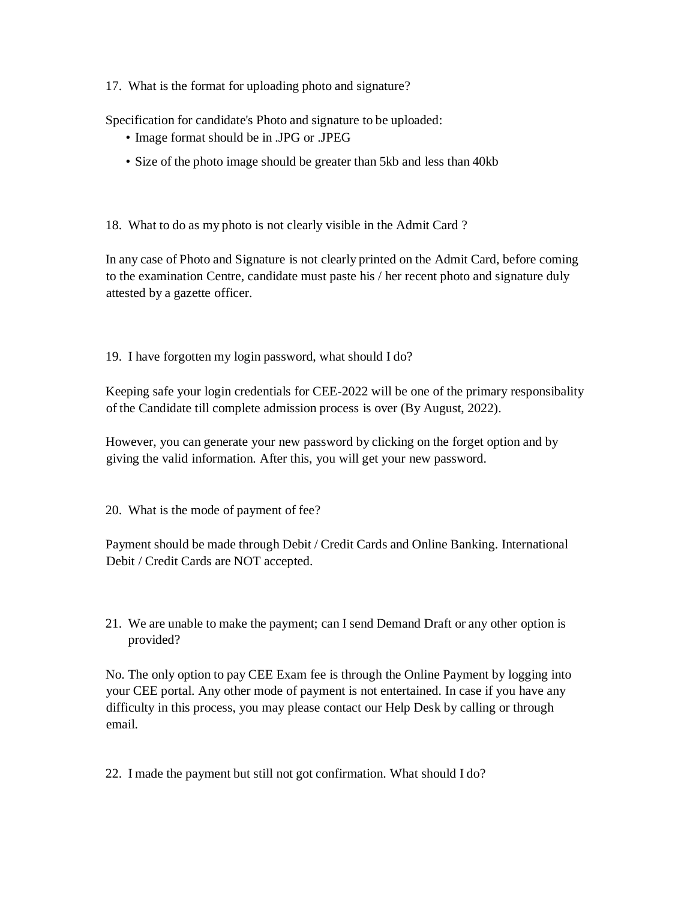17. What is the format for uploading photo and signature?

Specification for candidate's Photo and signature to be uploaded:

- Image format should be in .JPG or .JPEG
- Size of the photo image should be greater than 5kb and less than 40kb

18. What to do as my photo is not clearly visible in the Admit Card ?

In any case of Photo and Signature is not clearly printed on the Admit Card, before coming to the examination Centre, candidate must paste his / her recent photo and signature duly attested by a gazette officer.

19. I have forgotten my login password, what should I do?

Keeping safe your login credentials for CEE-2022 will be one of the primary responsibality of the Candidate till complete admission process is over (By August, 2022).

However, you can generate your new password by clicking on the forget option and by giving the valid information. After this, you will get your new password.

20. What is the mode of payment of fee?

Payment should be made through Debit / Credit Cards and Online Banking. International Debit / Credit Cards are NOT accepted.

21. We are unable to make the payment; can I send Demand Draft or any other option is provided?

No. The only option to pay CEE Exam fee is through the Online Payment by logging into your CEE portal. Any other mode of payment is not entertained. In case if you have any difficulty in this process, you may please contact our Help Desk by calling or through email.

22. I made the payment but still not got confirmation. What should I do?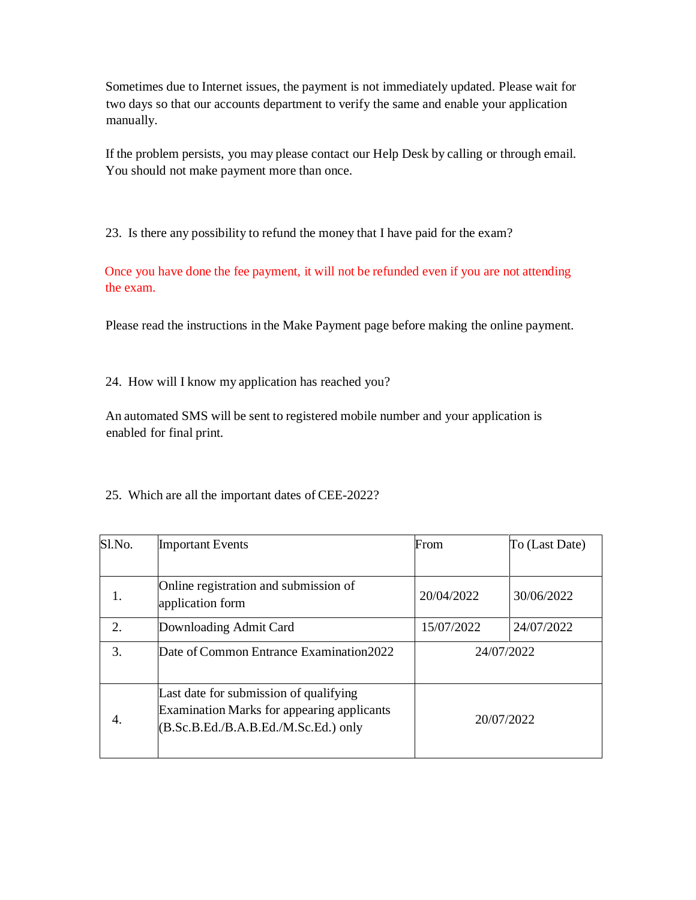Sometimes due to Internet issues, the payment is not immediately updated. Please wait for two days so that our accounts department to verify the same and enable your application manually.

If the problem persists, you may please contact our Help Desk by calling or through email. You should not make payment more than once.

23. Is there any possibility to refund the money that I have paid for the exam?

Once you have done the fee payment, it will not be refunded even if you are not attending the exam.

Please read the instructions in the Make Payment page before making the online payment.

24. How will I know my application has reached you?

An automated SMS will be sent to registered mobile number and your application is enabled for final print.

| $S1$ . No.       | <b>Important Events</b>                                                                                                             | From       | To (Last Date) |
|------------------|-------------------------------------------------------------------------------------------------------------------------------------|------------|----------------|
|                  |                                                                                                                                     |            |                |
|                  | Online registration and submission of<br>application form                                                                           | 20/04/2022 | 30/06/2022     |
| $\overline{2}$ . | 15/07/2022<br>Downloading Admit Card                                                                                                |            | 24/07/2022     |
| 3.               | Date of Common Entrance Examination2022                                                                                             | 24/07/2022 |                |
| 4.               | Last date for submission of qualifying<br><b>Examination Marks for appearing applicants</b><br>(B.Sc.B.Ed./B.A.B.Ed./M.Sc.Ed.) only | 20/07/2022 |                |

25. Which are all the important dates of CEE-2022?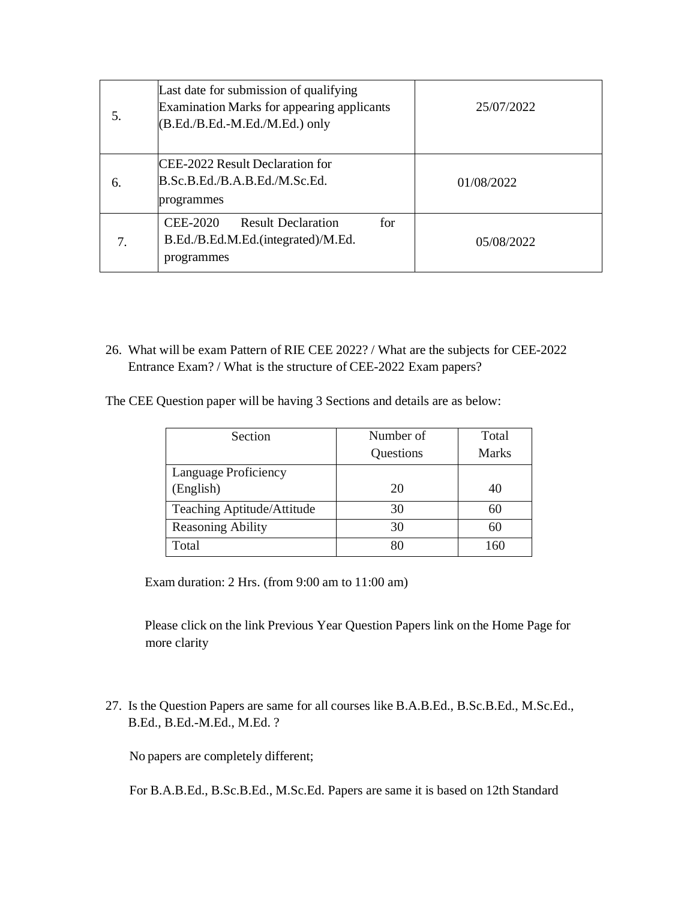| 5. | Last date for submission of qualifying<br><b>Examination Marks for appearing applicants</b><br>$(B.Ed./B.Ed.-M.Ed./M.Ed.)$ only | 25/07/2022 |
|----|---------------------------------------------------------------------------------------------------------------------------------|------------|
| 6. | ICEE-2022 Result Declaration for<br>B.Sc.B.Ed./B.A.B.Ed./M.Sc.Ed.<br>programmes                                                 | 01/08/2022 |
|    | CEE-2020<br><b>Result Declaration</b><br>for<br>B.Ed./B.Ed.M.Ed.(integrated)/M.Ed.<br>programmes                                | 05/08/2022 |

26. What will be exam Pattern of RIE CEE 2022? / What are the subjects for CEE-2022 Entrance Exam? / What is the structure of CEE-2022 Exam papers?

The CEE Question paper will be having 3 Sections and details are as below:

| Section                    | Number of | Total        |
|----------------------------|-----------|--------------|
|                            | Questions | <b>Marks</b> |
| Language Proficiency       |           |              |
| (English)                  | 20        |              |
| Teaching Aptitude/Attitude | 30        | 60           |
| <b>Reasoning Ability</b>   | 30        | 60           |
| Total                      |           |              |

Exam duration: 2 Hrs. (from 9:00 am to 11:00 am)

Please click on the link Previous Year Question Papers link on the Home Page for more clarity

27. Is the Question Papers are same for all courses like B.A.B.Ed., B.Sc.B.Ed., M.Sc.Ed., B.Ed., B.Ed.-M.Ed., M.Ed. ?

No papers are completely different;

For B.A.B.Ed., B.Sc.B.Ed., M.Sc.Ed. Papers are same it is based on 12th Standard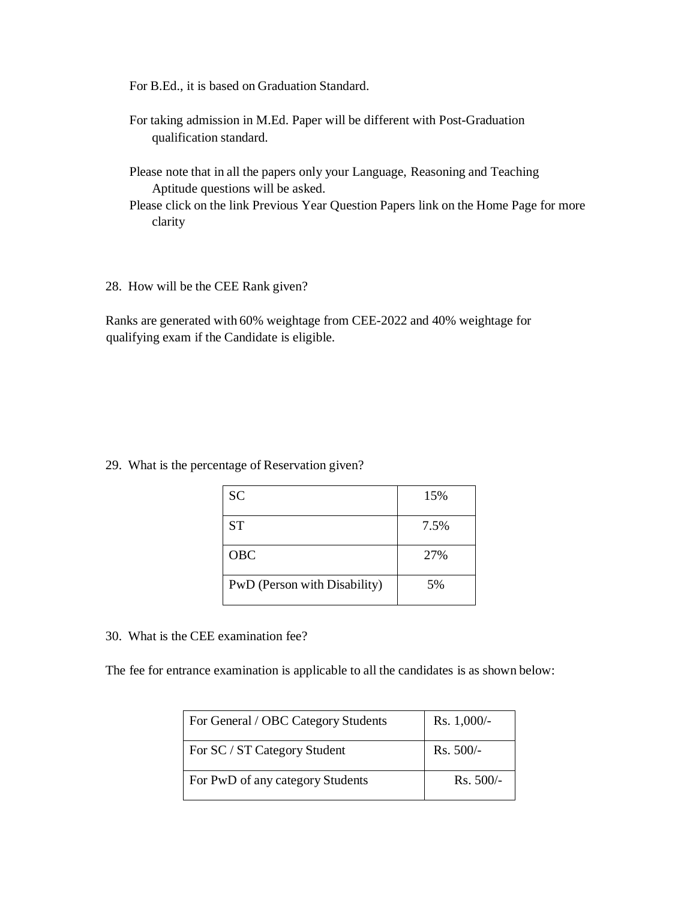For B.Ed., it is based on Graduation Standard.

- For taking admission in M.Ed. Paper will be different with Post-Graduation qualification standard.
- Please note that in all the papers only your Language, Reasoning and Teaching Aptitude questions will be asked.
- Please click on the link Previous Year Question Papers link on the Home Page for more clarity
- 28. How will be the CEE Rank given?

Ranks are generated with 60% weightage from CEE-2022 and 40% weightage for qualifying exam if the Candidate is eligible.

29. What is the percentage of Reservation given?

| <b>SC</b>                    | 15%  |
|------------------------------|------|
| <b>ST</b>                    | 7.5% |
| <b>OBC</b>                   | 27%  |
| PwD (Person with Disability) | 5%   |

30. What is the CEE examination fee?

The fee for entrance examination is applicable to all the candidates is as shown below:

| For General / OBC Category Students | $Rs. 1,000/-$ |
|-------------------------------------|---------------|
| For SC / ST Category Student        | $Rs. 500/-$   |
| For PwD of any category Students    | $Rs. 500/-$   |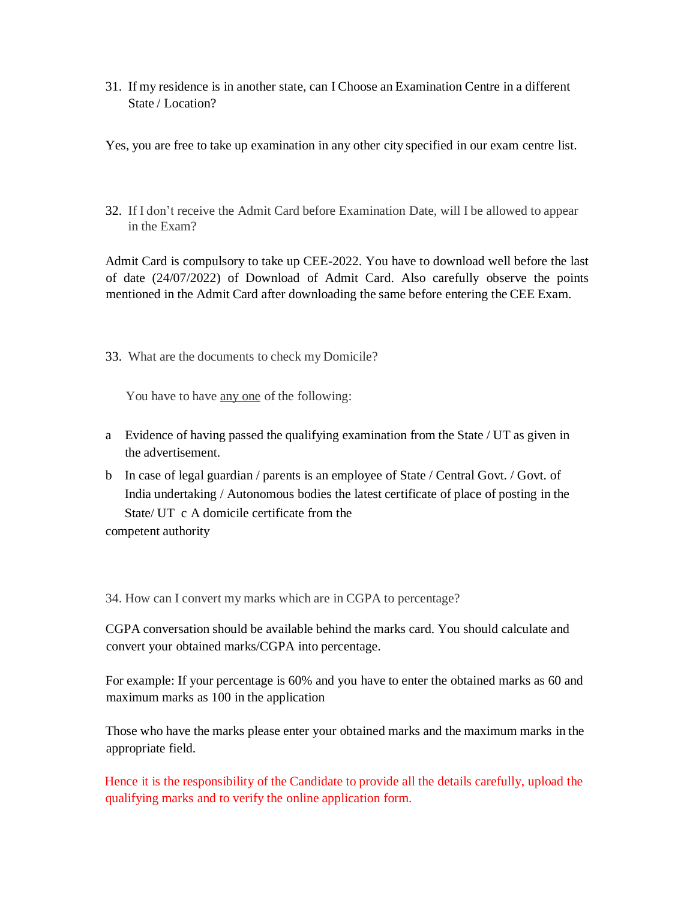31. If my residence is in another state, can I Choose an Examination Centre in a different State / Location?

Yes, you are free to take up examination in any other city specified in our exam centre list.

32. If I don't receive the Admit Card before Examination Date, will I be allowed to appear in the Exam?

Admit Card is compulsory to take up CEE-2022. You have to download well before the last of date (24/07/2022) of Download of Admit Card. Also carefully observe the points mentioned in the Admit Card after downloading the same before entering the CEE Exam.

33. What are the documents to check my Domicile?

You have to have <u>any one</u> of the following:

- a Evidence of having passed the qualifying examination from the State / UT as given in the advertisement.
- b In case of legal guardian / parents is an employee of State / Central Govt. / Govt. of India undertaking / Autonomous bodies the latest certificate of place of posting in the State/ UT c A domicile certificate from the competent authority

34. How can I convert my marks which are in CGPA to percentage?

CGPA conversation should be available behind the marks card. You should calculate and

convert your obtained marks/CGPA into percentage.

For example: If your percentage is 60% and you have to enter the obtained marks as 60 and maximum marks as 100 in the application

Those who have the marks please enter your obtained marks and the maximum marks in the appropriate field.

Hence it is the responsibility of the Candidate to provide all the details carefully, upload the qualifying marks and to verify the online application form.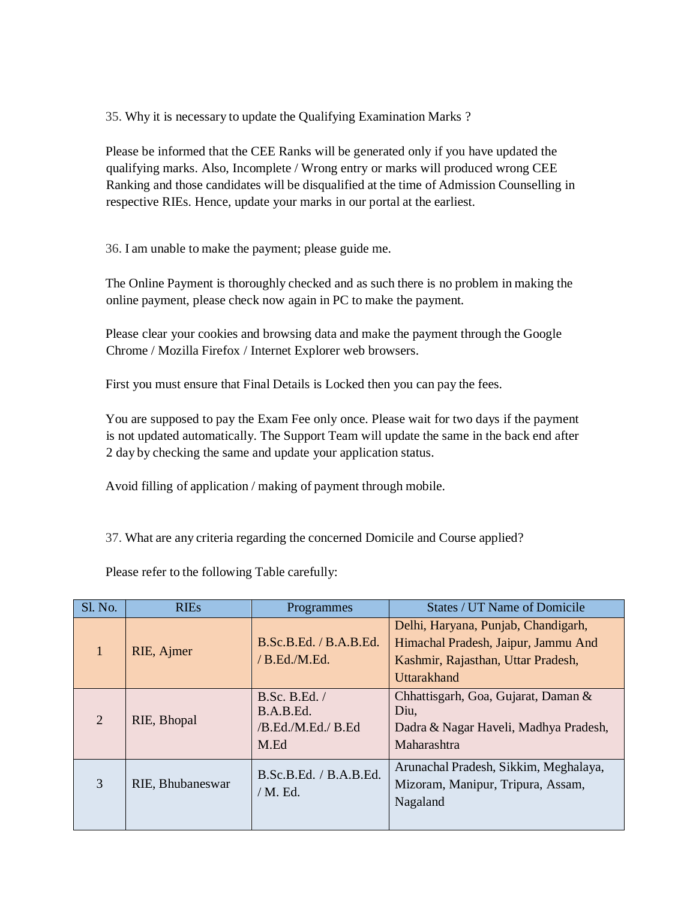35. Why it is necessary to update the Qualifying Examination Marks ?

Please be informed that the CEE Ranks will be generated only if you have updated the qualifying marks. Also, Incomplete / Wrong entry or marks will produced wrong CEE Ranking and those candidates will be disqualified at the time of Admission Counselling in respective RIEs. Hence, update your marks in our portal at the earliest.

36. I am unable to make the payment; please guide me.

The Online Payment is thoroughly checked and as such there is no problem in making the online payment, please check now again in PC to make the payment.

Please clear your cookies and browsing data and make the payment through the Google Chrome / Mozilla Firefox / Internet Explorer web browsers.

First you must ensure that Final Details is Locked then you can pay the fees.

You are supposed to pay the Exam Fee only once. Please wait for two days if the payment is not updated automatically. The Support Team will update the same in the back end after 2 day by checking the same and update your application status.

Avoid filling of application / making of payment through mobile.

37. What are any criteria regarding the concerned Domicile and Course applied?

Please refer to the following Table carefully:

| <b>Sl. No.</b> | <b>RIEs</b>      | Programmes                                               | States / UT Name of Domicile                                                                                                           |
|----------------|------------------|----------------------------------------------------------|----------------------------------------------------------------------------------------------------------------------------------------|
|                | RIE, Ajmer       | B.Sc.B.Ed. / B.A.B.Ed.<br>/B.Ed.M.Ed.                    | Delhi, Haryana, Punjab, Chandigarh,<br>Himachal Pradesh, Jaipur, Jammu And<br>Kashmir, Rajasthan, Uttar Pradesh,<br><b>Uttarakhand</b> |
| $\overline{2}$ | RIE, Bhopal      | B.Sc. B.Ed. /<br>B.A.B.Ed.<br>/B.Ed./M.Ed./ B.Ed<br>M.Ed | Chhattisgarh, Goa, Gujarat, Daman &<br>Diu,<br>Dadra & Nagar Haveli, Madhya Pradesh,<br>Maharashtra                                    |
| 3              | RIE, Bhubaneswar | B.Sc.B.Ed. / B.A.B.Ed.<br>$/M.$ Ed.                      | Arunachal Pradesh, Sikkim, Meghalaya,<br>Mizoram, Manipur, Tripura, Assam,<br>Nagaland                                                 |